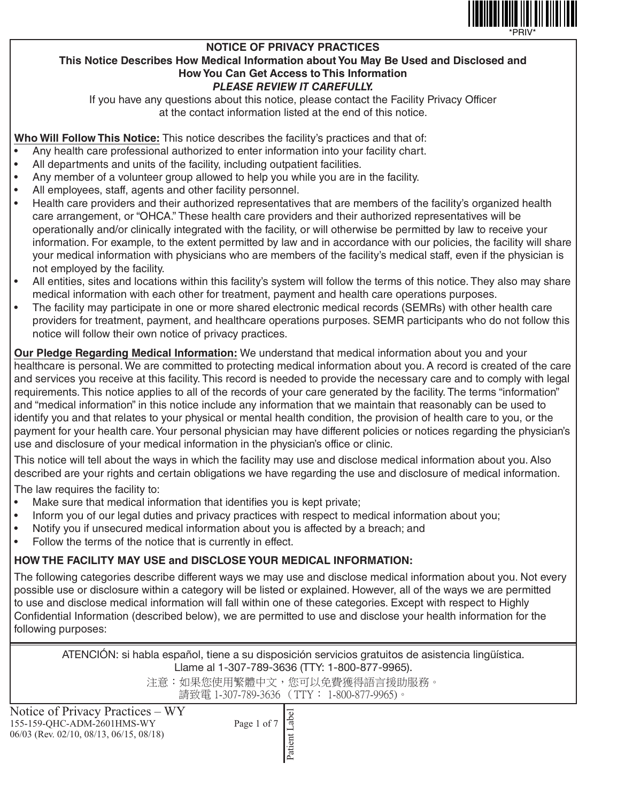

#### **NOTICE OF PRIVACY PRACTICES This Notice Describes How Medical Information about You May Be Used and Disclosed and How You Can Get Access to This Information** *PLEASE REVIEW IT CAREFULLY.*

If you have any questions about this notice, please contact the Facility Privacy Officer at the contact information listed at the end of this notice.

**Who Will Follow This Notice:** This notice describes the facility's practices and that of:

- Any health care professional authorized to enter information into your facility chart.
- All departments and units of the facility, including outpatient facilities.
- Any member of a volunteer group allowed to help you while you are in the facility.
- All employees, staff, agents and other facility personnel.
- Health care providers and their authorized representatives that are members of the facility's organized health care arrangement, or "OHCA." These health care providers and their authorized representatives will be operationally and/or clinically integrated with the facility, or will otherwise be permitted by law to receive your information. For example, to the extent permitted by law and in accordance with our policies, the facility will share your medical information with physicians who are members of the facility's medical staff, even if the physician is not employed by the facility.
- All entities, sites and locations within this facility's system will follow the terms of this notice. They also may share medical information with each other for treatment, payment and health care operations purposes.
- The facility may participate in one or more shared electronic medical records (SEMRs) with other health care providers for treatment, payment, and healthcare operations purposes. SEMR participants who do not follow this notice will follow their own notice of privacy practices.

**Our Pledge Regarding Medical Information:** We understand that medical information about you and your healthcare is personal. We are committed to protecting medical information about you. A record is created of the care and services you receive at this facility. This record is needed to provide the necessary care and to comply with legal requirements. This notice applies to all of the records of your care generated by the facility. The terms "information" and "medical information" in this notice include any information that we maintain that reasonably can be used to identify you and that relates to your physical or mental health condition, the provision of health care to you, or the payment for your health care. Your personal physician may have different policies or notices regarding the physician's use and disclosure of your medical information in the physician's office or clinic.

This notice will tell about the ways in which the facility may use and disclose medical information about you. Also described are your rights and certain obligations we have regarding the use and disclosure of medical information.

The law requires the facility to:

- Make sure that medical information that identifies you is kept private;
- Inform you of our legal duties and privacy practices with respect to medical information about you;
- Notify you if unsecured medical information about you is affected by a breach; and
- Follow the terms of the notice that is currently in effect.

# **HOW THE FACILITY MAY USE and DISCLOSE YOUR MEDICAL INFORMATION:**

The following categories describe different ways we may use and disclose medical information about you. Not every possible use or disclosure within a category will be listed or explained. However, all of the ways we are permitted to use and disclose medical information will fall within one of these categories. Except with respect to Highly Confidential Information (described below), we are permitted to use and disclose your health information for the following purposes:

ATENCIÓN: si habla español, tiene a su disposición servicios gratuitos de asistencia lingüística. Llame al 1-307-789-3636 (TTY: 1-800-877-9965).

> 注意:如果您使用繁體中文,您可以免費獲得語言援助服務。 請致電 1-307-789-3636 (TTY: 1-800-877-9965)。

Notice of Privacy Practices – WY 155-159-QHC-ADM-2601HMS-WY Page 1 of 7 06/03 (Rev. 02/10, 08/13, 06/15, 08/18)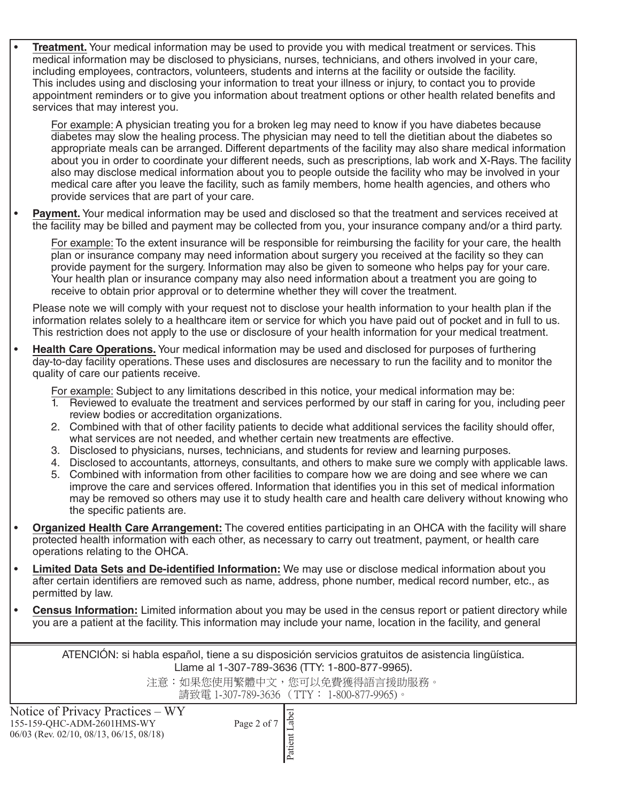• **Treatment.** Your medical information may be used to provide you with medical treatment or services. This medical information may be disclosed to physicians, nurses, technicians, and others involved in your care, including employees, contractors, volunteers, students and interns at the facility or outside the facility. This includes using and disclosing your information to treat your illness or injury, to contact you to provide appointment reminders or to give you information about treatment options or other health related benefits and services that may interest you.

For example: A physician treating you for a broken leg may need to know if you have diabetes because diabetes may slow the healing process. The physician may need to tell the dietitian about the diabetes so appropriate meals can be arranged. Different departments of the facility may also share medical information about you in order to coordinate your different needs, such as prescriptions, lab work and X-Rays. The facility also may disclose medical information about you to people outside the facility who may be involved in your medical care after you leave the facility, such as family members, home health agencies, and others who provide services that are part of your care.

**Payment.** Your medical information may be used and disclosed so that the treatment and services received at the facility may be billed and payment may be collected from you, your insurance company and/or a third party.

For example: To the extent insurance will be responsible for reimbursing the facility for your care, the health plan or insurance company may need information about surgery you received at the facility so they can provide payment for the surgery. Information may also be given to someone who helps pay for your care. Your health plan or insurance company may also need information about a treatment you are going to receive to obtain prior approval or to determine whether they will cover the treatment.

Please note we will comply with your request not to disclose your health information to your health plan if the information relates solely to a healthcare item or service for which you have paid out of pocket and in full to us. This restriction does not apply to the use or disclosure of your health information for your medical treatment.

• **Health Care Operations.** Your medical information may be used and disclosed for purposes of furthering day-to-day facility operations. These uses and disclosures are necessary to run the facility and to monitor the quality of care our patients receive.

For example: Subject to any limitations described in this notice, your medical information may be:

- 1. Reviewed to evaluate the treatment and services performed by our staff in caring for you, including peer review bodies or accreditation organizations.
- 2. Combined with that of other facility patients to decide what additional services the facility should offer, what services are not needed, and whether certain new treatments are effective.
- 3. Disclosed to physicians, nurses, technicians, and students for review and learning purposes.
- 4. Disclosed to accountants, attorneys, consultants, and others to make sure we comply with applicable laws.
- 5. Combined with information from other facilities to compare how we are doing and see where we can improve the care and services offered. Information that identifies you in this set of medical information may be removed so others may use it to study health care and health care delivery without knowing who the specific patients are.
- **Organized Health Care Arrangement:** The covered entities participating in an OHCA with the facility will share protected health information with each other, as necessary to carry out treatment, payment, or health care operations relating to the OHCA.
- **Limited Data Sets and De-identified Information:** We may use or disclose medical information about you after certain identifiers are removed such as name, address, phone number, medical record number, etc., as permitted by law.
- **Census Information:** Limited information about you may be used in the census report or patient directory while you are a patient at the facility. This information may include your name, location in the facility, and general

ATENCIÓN: si habla español, tiene a su disposición servicios gratuitos de asistencia lingüística. Llame al 1-307-789-3636 (TTY: 1-800-877-9965).

> 注意:如果您使用繁體中文,您可以免費獲得語言援助服務。 請致電 1-307-789-3636 (TTY: 1-800-877-9965)。

Notice of Privacy Practices – WY 155-159-QHC-ADM-2601HMS-WY Page 2 of 7 06/03 (Rev. 02/10, 08/13, 06/15, 08/18)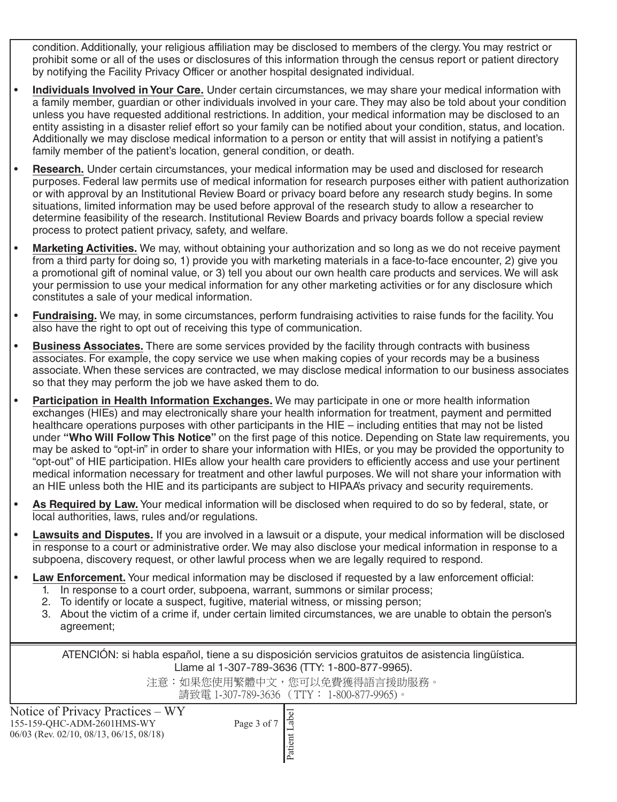condition. Additionally, your religious affiliation may be disclosed to members of the clergy. You may restrict or prohibit some or all of the uses or disclosures of this information through the census report or patient directory by notifying the Facility Privacy Officer or another hospital designated individual.

- **Individuals Involved in Your Care.** Under certain circumstances, we may share your medical information with a family member, guardian or other individuals involved in your care. They may also be told about your condition unless you have requested additional restrictions. In addition, your medical information may be disclosed to an entity assisting in a disaster relief effort so your family can be notified about your condition, status, and location. Additionally we may disclose medical information to a person or entity that will assist in notifying a patient's family member of the patient's location, general condition, or death.
- **Research.** Under certain circumstances, your medical information may be used and disclosed for research purposes. Federal law permits use of medical information for research purposes either with patient authorization or with approval by an Institutional Review Board or privacy board before any research study begins. In some situations, limited information may be used before approval of the research study to allow a researcher to determine feasibility of the research. Institutional Review Boards and privacy boards follow a special review process to protect patient privacy, safety, and welfare.
- **Marketing Activities.** We may, without obtaining your authorization and so long as we do not receive payment from a third party for doing so, 1) provide you with marketing materials in a face-to-face encounter, 2) give you a promotional gift of nominal value, or 3) tell you about our own health care products and services. We will ask your permission to use your medical information for any other marketing activities or for any disclosure which constitutes a sale of your medical information.
- **Fundraising.** We may, in some circumstances, perform fundraising activities to raise funds for the facility. You also have the right to opt out of receiving this type of communication.
- **Business Associates.** There are some services provided by the facility through contracts with business associates. For example, the copy service we use when making copies of your records may be a business associate. When these services are contracted, we may disclose medical information to our business associates so that they may perform the job we have asked them to do.
- **Participation in Health Information Exchanges.** We may participate in one or more health information exchanges (HIEs) and may electronically share your health information for treatment, payment and permitted healthcare operations purposes with other participants in the HIE – including entities that may not be listed under **"Who Will Follow This Notice"** on the first page of this notice. Depending on State law requirements, you may be asked to "opt-in" in order to share your information with HIEs, or you may be provided the opportunity to "opt-out" of HIE participation. HIEs allow your health care providers to efficiently access and use your pertinent medical information necessary for treatment and other lawful purposes. We will not share your information with an HIE unless both the HIE and its participants are subject to HIPAA's privacy and security requirements.
- **As Required by Law.** Your medical information will be disclosed when required to do so by federal, state, or local authorities, laws, rules and/or regulations.
- **Lawsuits and Disputes.** If you are involved in a lawsuit or a dispute, your medical information will be disclosed in response to a court or administrative order. We may also disclose your medical information in response to a subpoena, discovery request, or other lawful process when we are legally required to respond.
- **Law Enforcement.** Your medical information may be disclosed if requested by a law enforcement official:
	- 1. In response to a court order, subpoena, warrant, summons or similar process;
	- 2. To identify or locate a suspect, fugitive, material witness, or missing person;
	- 3. About the victim of a crime if, under certain limited circumstances, we are unable to obtain the person's agreement;

ATENCIÓN: si habla español, tiene a su disposición servicios gratuitos de asistencia lingüística. Llame al 1-307-789-3636 (TTY: 1-800-877-9965).

> 注意:如果您使用繁體中文,您可以免費獲得語言援助服務。 請致電 1-307-789-3636 (TTY: 1-800-877-9965)。

Notice of Privacy Practices – WY 155-159-QHC-ADM-2601HMS-WY Page 3 of 7 06/03 (Rev. 02/10, 08/13, 06/15, 08/18)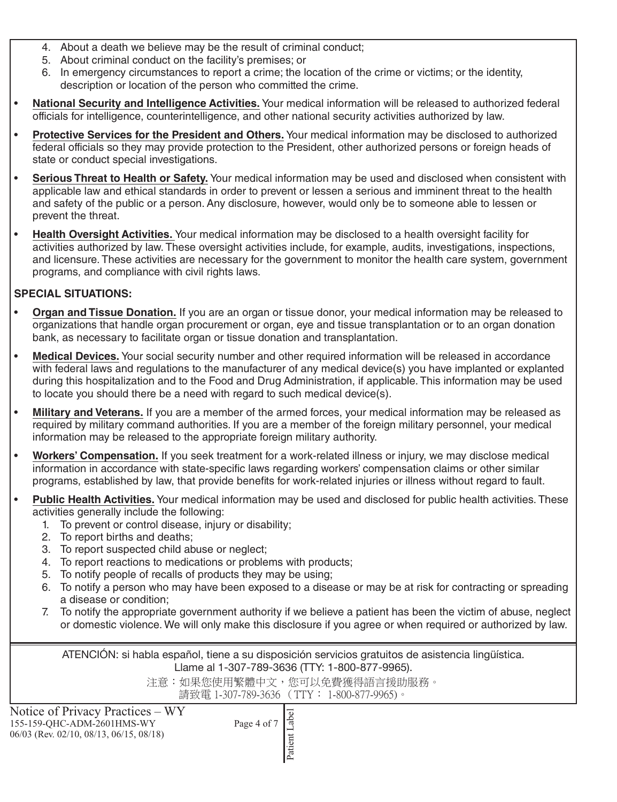- 4. About a death we believe may be the result of criminal conduct;
- 5. About criminal conduct on the facility's premises; or
- 6. In emergency circumstances to report a crime; the location of the crime or victims; or the identity, description or location of the person who committed the crime.
- **National Security and Intelligence Activities.** Your medical information will be released to authorized federal officials for intelligence, counterintelligence, and other national security activities authorized by law.
- **Protective Services for the President and Others.** Your medical information may be disclosed to authorized federal officials so they may provide protection to the President, other authorized persons or foreign heads of state or conduct special investigations.
- **Serious Threat to Health or Safety.** Your medical information may be used and disclosed when consistent with applicable law and ethical standards in order to prevent or lessen a serious and imminent threat to the health and safety of the public or a person. Any disclosure, however, would only be to someone able to lessen or prevent the threat.
- **Health Oversight Activities.** Your medical information may be disclosed to a health oversight facility for activities authorized by law. These oversight activities include, for example, audits, investigations, inspections, and licensure. These activities are necessary for the government to monitor the health care system, government programs, and compliance with civil rights laws.

## **SPECIAL SITUATIONS:**

- **Organ and Tissue Donation.** If you are an organ or tissue donor, your medical information may be released to organizations that handle organ procurement or organ, eye and tissue transplantation or to an organ donation bank, as necessary to facilitate organ or tissue donation and transplantation.
- **Medical Devices.** Your social security number and other required information will be released in accordance with federal laws and regulations to the manufacturer of any medical device(s) you have implanted or explanted during this hospitalization and to the Food and Drug Administration, if applicable. This information may be used to locate you should there be a need with regard to such medical device(s).
- **Military and Veterans.** If you are a member of the armed forces, your medical information may be released as required by military command authorities. If you are a member of the foreign military personnel, your medical information may be released to the appropriate foreign military authority.
- **Workers' Compensation.** If you seek treatment for a work-related illness or injury, we may disclose medical information in accordance with state-specific laws regarding workers' compensation claims or other similar programs, established by law, that provide benefits for work-related injuries or illness without regard to fault.
- **Public Health Activities.** Your medical information may be used and disclosed for public health activities. These activities generally include the following:
	- 1. To prevent or control disease, injury or disability;
	- 2. To report births and deaths;
	- 3. To report suspected child abuse or neglect;
	- 4. To report reactions to medications or problems with products;
	- 5. To notify people of recalls of products they may be using;
	- 6. To notify a person who may have been exposed to a disease or may be at risk for contracting or spreading a disease or condition;
	- 7. To notify the appropriate government authority if we believe a patient has been the victim of abuse, neglect or domestic violence. We will only make this disclosure if you agree or when required or authorized by law.

ATENCIÓN: si habla español, tiene a su disposición servicios gratuitos de asistencia lingüística. Llame al 1-307-789-3636 (TTY: 1-800-877-9965).

> 注意:如果您使用繁體中文,您可以免費獲得語言援助服務。 請致電 1-307-789-3636 (TTY: 1-800-877-9965)。

Notice of Privacy Practices – WY 155-159-QHC-ADM-2601HMS-WY Page 4 of 7 06/03 (Rev. 02/10, 08/13, 06/15, 08/18)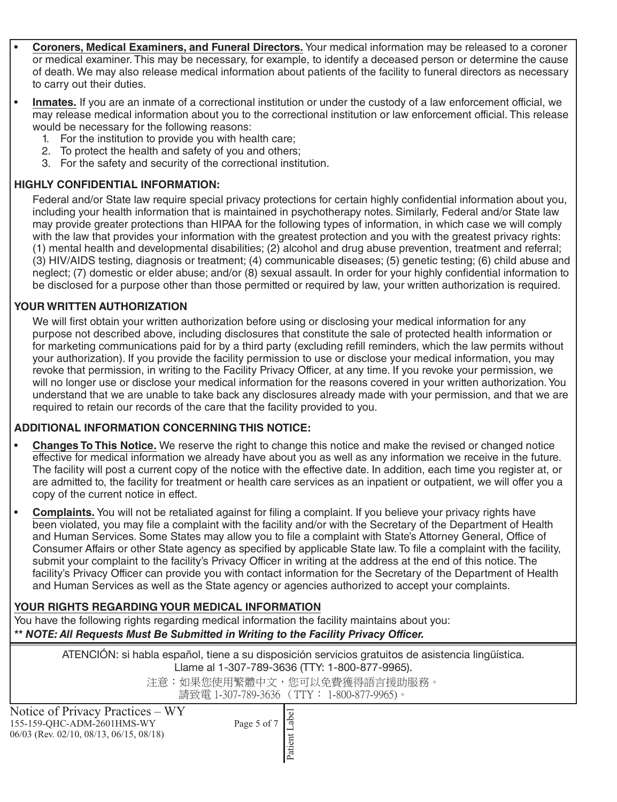- **Coroners, Medical Examiners, and Funeral Directors.** Your medical information may be released to a coroner or medical examiner. This may be necessary, for example, to identify a deceased person or determine the cause of death. We may also release medical information about patients of the facility to funeral directors as necessary to carry out their duties.
- **Inmates.** If you are an inmate of a correctional institution or under the custody of a law enforcement official, we may release medical information about you to the correctional institution or law enforcement official. This release would be necessary for the following reasons:
	- 1. For the institution to provide you with health care;
	- 2. To protect the health and safety of you and others;
	- 3. For the safety and security of the correctional institution.

#### **HIGHLY CONFIDENTIAL INFORMATION:**

Federal and/or State law require special privacy protections for certain highly confidential information about you, including your health information that is maintained in psychotherapy notes. Similarly, Federal and/or State law may provide greater protections than HIPAA for the following types of information, in which case we will comply with the law that provides your information with the greatest protection and you with the greatest privacy rights: (1) mental health and developmental disabilities; (2) alcohol and drug abuse prevention, treatment and referral; (3) HIV/AIDS testing, diagnosis or treatment; (4) communicable diseases; (5) genetic testing; (6) child abuse and neglect; (7) domestic or elder abuse; and/or (8) sexual assault. In order for your highly confidential information to be disclosed for a purpose other than those permitted or required by law, your written authorization is required.

#### **YOUR WRITTEN AUTHORIZATION**

We will first obtain your written authorization before using or disclosing your medical information for any purpose not described above, including disclosures that constitute the sale of protected health information or for marketing communications paid for by a third party (excluding refill reminders, which the law permits without your authorization). If you provide the facility permission to use or disclose your medical information, you may revoke that permission, in writing to the Facility Privacy Officer, at any time. If you revoke your permission, we will no longer use or disclose your medical information for the reasons covered in your written authorization. You understand that we are unable to take back any disclosures already made with your permission, and that we are required to retain our records of the care that the facility provided to you.

## **ADDITIONAL INFORMATION CONCERNING THIS NOTICE:**

- **Changes To This Notice.** We reserve the right to change this notice and make the revised or changed notice effective for medical information we already have about you as well as any information we receive in the future. The facility will post a current copy of the notice with the effective date. In addition, each time you register at, or are admitted to, the facility for treatment or health care services as an inpatient or outpatient, we will offer you a copy of the current notice in effect.
- **Complaints.** You will not be retaliated against for filing a complaint. If you believe your privacy rights have been violated, you may file a complaint with the facility and/or with the Secretary of the Department of Health and Human Services. Some States may allow you to file a complaint with State's Attorney General, Office of Consumer Affairs or other State agency as specified by applicable State law. To file a complaint with the facility, submit your complaint to the facility's Privacy Officer in writing at the address at the end of this notice. The facility's Privacy Officer can provide you with contact information for the Secretary of the Department of Health and Human Services as well as the State agency or agencies authorized to accept your complaints.

## **YOUR RIGHTS REGARDING YOUR MEDICAL INFORMATION**

You have the following rights regarding medical information the facility maintains about you: *\*\* NOTE: All Requests Must Be Submitted in Writing to the Facility Privacy Officer.*

> ATENCIÓN: si habla español, tiene a su disposición servicios gratuitos de asistencia lingüística. Llame al 1-307-789-3636 (TTY: 1-800-877-9965).

> > 注意:如果您使用繁體中文,您可以免費獲得語言援助服務。 請致電 1-307-789-3636 (TTY: 1-800-877-9965)。

Notice of Privacy Practices – WY 155-159-QHC-ADM-2601HMS-WY Page 5 of 7 06/03 (Rev. 02/10, 08/13, 06/15, 08/18)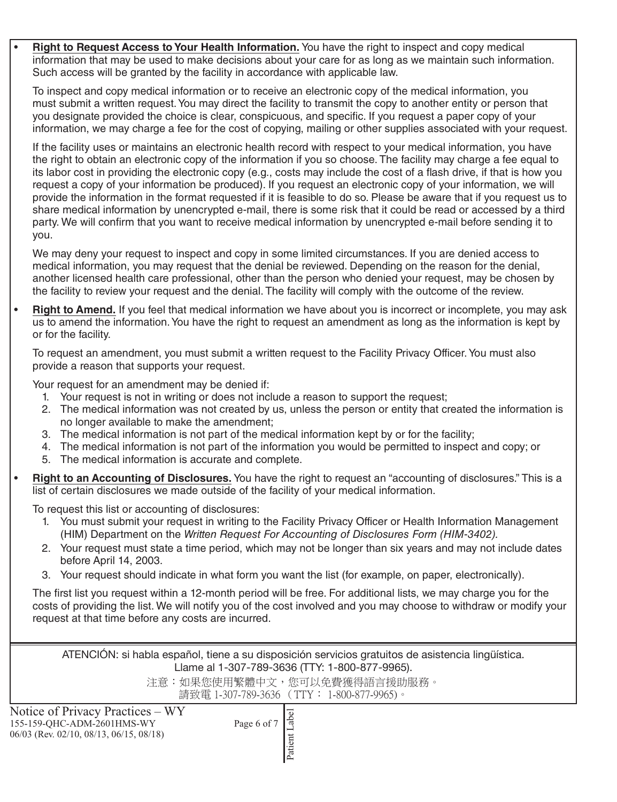• **Right to Request Access to Your Health Information.** You have the right to inspect and copy medical information that may be used to make decisions about your care for as long as we maintain such information. Such access will be granted by the facility in accordance with applicable law.

To inspect and copy medical information or to receive an electronic copy of the medical information, you must submit a written request. You may direct the facility to transmit the copy to another entity or person that you designate provided the choice is clear, conspicuous, and specific. If you request a paper copy of your information, we may charge a fee for the cost of copying, mailing or other supplies associated with your request.

If the facility uses or maintains an electronic health record with respect to your medical information, you have the right to obtain an electronic copy of the information if you so choose. The facility may charge a fee equal to its labor cost in providing the electronic copy (e.g., costs may include the cost of a flash drive, if that is how you request a copy of your information be produced). If you request an electronic copy of your information, we will provide the information in the format requested if it is feasible to do so. Please be aware that if you request us to share medical information by unencrypted e-mail, there is some risk that it could be read or accessed by a third party. We will confirm that you want to receive medical information by unencrypted e-mail before sending it to you.

We may deny your request to inspect and copy in some limited circumstances. If you are denied access to medical information, you may request that the denial be reviewed. Depending on the reason for the denial, another licensed health care professional, other than the person who denied your request, may be chosen by the facility to review your request and the denial. The facility will comply with the outcome of the review.

• **Right to Amend.** If you feel that medical information we have about you is incorrect or incomplete, you may ask us to amend the information. You have the right to request an amendment as long as the information is kept by or for the facility.

To request an amendment, you must submit a written request to the Facility Privacy Officer. You must also provide a reason that supports your request.

Your request for an amendment may be denied if:

- 1. Your request is not in writing or does not include a reason to support the request;
- 2. The medical information was not created by us, unless the person or entity that created the information is no longer available to make the amendment;
- 3. The medical information is not part of the medical information kept by or for the facility;
- 4. The medical information is not part of the information you would be permitted to inspect and copy; or
- 5. The medical information is accurate and complete.
- **Right to an Accounting of Disclosures.** You have the right to request an "accounting of disclosures." This is a list of certain disclosures we made outside of the facility of your medical information.

To request this list or accounting of disclosures:

- 1. You must submit your request in writing to the Facility Privacy Officer or Health Information Management (HIM) Department on the *Written Request For Accounting of Disclosures Form (HIM-3402).*
- 2. Your request must state a time period, which may not be longer than six years and may not include dates before April 14, 2003.
- 3. Your request should indicate in what form you want the list (for example, on paper, electronically).

The first list you request within a 12-month period will be free. For additional lists, we may charge you for the costs of providing the list. We will notify you of the cost involved and you may choose to withdraw or modify your request at that time before any costs are incurred.

ATENCIÓN: si habla español, tiene a su disposición servicios gratuitos de asistencia lingüística. Llame al 1-307-789-3636 (TTY: 1-800-877-9965).

> 注意:如果您使用繁體中文,您可以免費獲得語言援助服務。 請致電 1-307-789-3636 (TTY: 1-800-877-9965)。

Notice of Privacy Practices – WY 155-159-QHC-ADM-2601HMS-WY Page 6 of 7 06/03 (Rev. 02/10, 08/13, 06/15, 08/18)